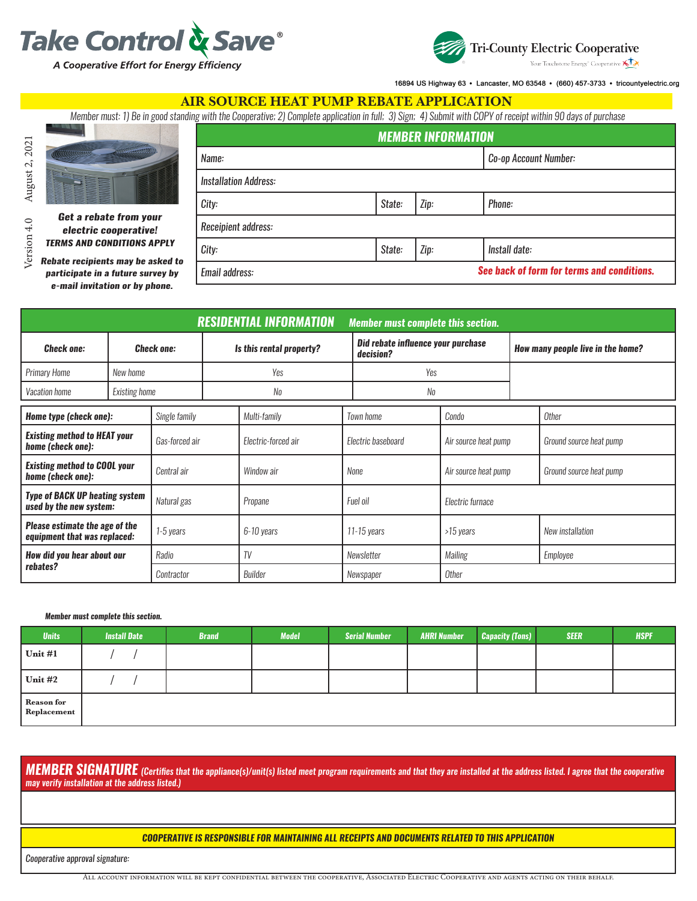



16894 US Highway 63 · Lancaster, MO 63548 · (660) 457-3733 · tricountyelectric.org

*See back of form for terms and conditions.*

#### AIR SOURCE HEAT PUMP REBATE APPLICATION

*Member must: 1) Be in good standing with the Cooperative; 2) Complete application in full; 3) Sign; 4) Submit with COPY of receipt within 90 days of purchase*

*Name: Co-op Account Number:*

*MEMBER INFORMATION*



*Get a rebate from your electric cooperative!* 

*participate in a future survey by* 

*Rebate recipients may be asked to TERMS AND CONDITIONS APPLY Installation Address: City: State: Zip: Phone: Receipient address: City: State: Zip: Install date:*

*Email address:*

| e-mail invitation or by phone.                                   |                   |                |                          |                                |  |                                                 |                      |                                   |                         |  |
|------------------------------------------------------------------|-------------------|----------------|--------------------------|--------------------------------|--|-------------------------------------------------|----------------------|-----------------------------------|-------------------------|--|
|                                                                  |                   |                |                          |                                |  |                                                 |                      |                                   |                         |  |
|                                                                  |                   |                |                          | <b>RESIDENTIAL INFORMATION</b> |  | <b>Member must complete this section.</b>       |                      |                                   |                         |  |
| <b>Check one:</b>                                                | <b>Check one:</b> |                | Is this rental property? |                                |  | Did rebate influence your purchase<br>decision? |                      | How many people live in the home? |                         |  |
| <b>Primary Home</b>                                              | New home          |                | Yes                      |                                |  | Yes                                             |                      |                                   |                         |  |
| Vacation home                                                    | Existing home     |                | No                       |                                |  | No                                              |                      |                                   |                         |  |
| Home type (check one):                                           |                   | Single family  |                          | Multi-family                   |  | <b>Town home</b>                                | Condo                |                                   | Other                   |  |
| <b>Existing method to HEAT your</b><br>home (check one):         |                   | Gas-forced air |                          | Electric-forced air            |  | Electric baseboard<br>Air source heat pump      |                      | Ground source heat pump           |                         |  |
| <b>Existing method to COOL your</b><br>home (check one):         |                   | Central air    |                          | Window air                     |  | None                                            | Air source heat pump |                                   | Ground source heat pump |  |
| <b>Type of BACK UP heating system</b><br>used by the new system: |                   | Natural gas    |                          | Propane                        |  | Fuel oil                                        | Electric furnace     |                                   |                         |  |
| Please estimate the age of the<br>equipment that was replaced:   |                   | 1-5 years      |                          | 6-10 years                     |  | $11-15$ years                                   | >15 years            |                                   | New installation        |  |
| How did you hear about our<br>rebates?                           |                   | Radio          |                          | TV                             |  | Newsletter                                      | Mailing              |                                   | Employee                |  |
|                                                                  |                   | Contractor     |                          | Builder                        |  | Other<br>Newspaper                              |                      |                                   |                         |  |

#### *Member must complete this section.*

| <b>Units</b>                     | <b>Install Date</b> | <b>Brand</b> | <b>Model</b> | <b>Serial Number</b> | <b>AHRI Number</b> | Capacity (Tons) | <b>SEER</b> | <b>HSPF</b> |
|----------------------------------|---------------------|--------------|--------------|----------------------|--------------------|-----------------|-------------|-------------|
| Unit #1                          |                     |              |              |                      |                    |                 |             |             |
| $Unit$ #2                        |                     |              |              |                      |                    |                 |             |             |
| <b>Reason for</b><br>Replacement |                     |              |              |                      |                    |                 |             |             |

*MEMBER SIGNATURE (Certifies that the appliance(s)/unit(s) listed meet program requirements and that they are installed at the address listed. I agree that the cooperative may verify installation at the address listed.)*

#### *COOPERATIVE IS RESPONSIBLE FOR MAINTAINING ALL RECEIPTS AND DOCUMENTS RELATED TO THIS APPLICATION*

*Cooperative approval signature:*

All account information will be kept confidential between the cooperative, Associated Electric Cooperative and agents acting on their behalf.